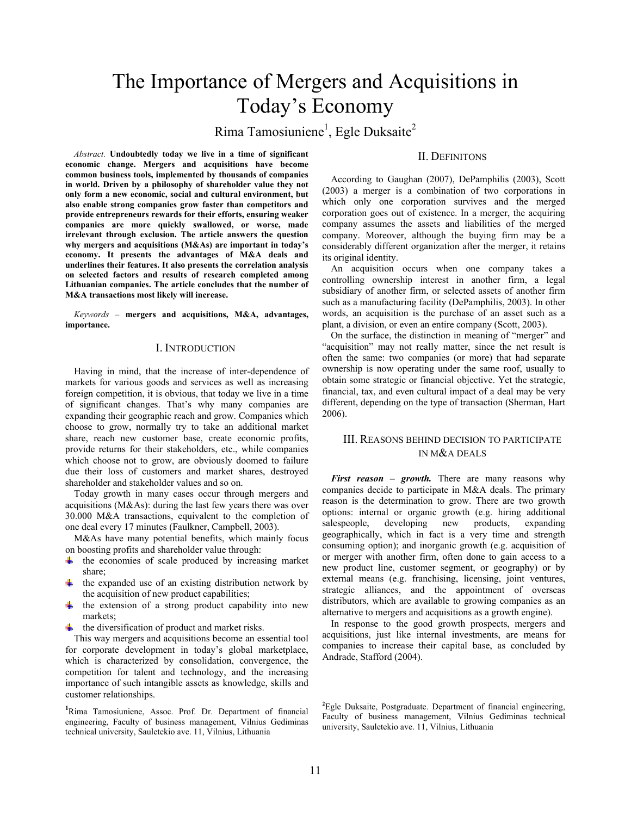# The Importance of Mergers and Acquisitions in Today's Economy

Rima Tamosiuniene<sup>1</sup>, Egle Duksaite<sup>2</sup>

*Abstract.* **Undoubtedly today we live in a time of significant economic change. Mergers and acquisitions have become common business tools, implemented by thousands of companies in world. Driven by a philosophy of shareholder value they not only form a new economic, social and cultural environment, but also enable strong companies grow faster than competitors and provide entrepreneurs rewards for their efforts, ensuring weaker companies are more quickly swallowed, or worse, made irrelevant through exclusion. The article answers the question why mergers and acquisitions (M&As) are important in today's economy. It presents the advantages of M&A deals and underlines their features. It also presents the correlation analysis on selected factors and results of research completed among Lithuanian companies. The article concludes that the number of M&A transactions most likely will increase.** 

*Keywords –* **mergers and acquisitions, M&A, advantages, importance.** 

#### I. INTRODUCTION

Having in mind, that the increase of inter-dependence of markets for various goods and services as well as increasing foreign competition, it is obvious, that today we live in a time of significant changes. That's why many companies are expanding their geographic reach and grow. Companies which choose to grow, normally try to take an additional market share, reach new customer base, create economic profits, provide returns for their stakeholders, etc., while companies which choose not to grow, are obviously doomed to failure due their loss of customers and market shares, destroyed shareholder and stakeholder values and so on.

Today growth in many cases occur through mergers and acquisitions (M&As): during the last few years there was over 30.000 M&A transactions, equivalent to the completion of one deal every 17 minutes (Faulkner, Campbell, 2003).

M&As have many potential benefits, which mainly focus on boosting profits and shareholder value through:

- $\ddot{\bullet}$  the economies of scale produced by increasing market share;
- $\ddot{\phantom{1}}$  the expanded use of an existing distribution network by the acquisition of new product capabilities;
- $\ddot{\bullet}$  the extension of a strong product capability into new markets;
- $\ddot{\phantom{a}}$  the diversification of product and market risks.

This way mergers and acquisitions become an essential tool for corporate development in today's global marketplace, which is characterized by consolidation, convergence, the competition for talent and technology, and the increasing importance of such intangible assets as knowledge, skills and customer relationships.

**1** Rima Tamosiuniene, Assoc. Prof. Dr. Department of financial engineering, Faculty of business management, Vilnius Gediminas technical university, Sauletekio ave. 11, Vilnius, Lithuania

## II. DEFINITONS

According to Gaughan (2007), DePamphilis (2003), Scott (2003) a merger is a combination of two corporations in which only one corporation survives and the merged corporation goes out of existence. In a merger, the acquiring company assumes the assets and liabilities of the merged company. Moreover, although the buying firm may be a considerably different organization after the merger, it retains its original identity.

An acquisition occurs when one company takes a controlling ownership interest in another firm, a legal subsidiary of another firm, or selected assets of another firm such as a manufacturing facility (DePamphilis, 2003). In other words, an acquisition is the purchase of an asset such as a plant, a division, or even an entire company (Scott, 2003).

On the surface, the distinction in meaning of "merger" and "acquisition" may not really matter, since the net result is often the same: two companies (or more) that had separate ownership is now operating under the same roof, usually to obtain some strategic or financial objective. Yet the strategic, financial, tax, and even cultural impact of a deal may be very different, depending on the type of transaction (Sherman, Hart 2006).

#### III. REASONS BEHIND DECISION TO PARTICIPATE IN M&A DEALS

*First reason – growth.* There are many reasons why companies decide to participate in M&A deals. The primary reason is the determination to grow. There are two growth options: internal or organic growth (e.g. hiring additional salespeople, developing new products, expanding geographically, which in fact is a very time and strength consuming option); and inorganic growth (e.g. acquisition of or merger with another firm, often done to gain access to a new product line, customer segment, or geography) or by external means (e.g. franchising, licensing, joint ventures, strategic alliances, and the appointment of overseas distributors, which are available to growing companies as an alternative to mergers and acquisitions as a growth engine).

In response to the good growth prospects, mergers and acquisitions, just like internal investments, are means for companies to increase their capital base, as concluded by Andrade, Stafford (2004).

<sup>2</sup>Egle Duksaite, Postgraduate. Department of financial engineering, Faculty of business management, Vilnius Gediminas technical university, Sauletekio ave. 11, Vilnius, Lithuania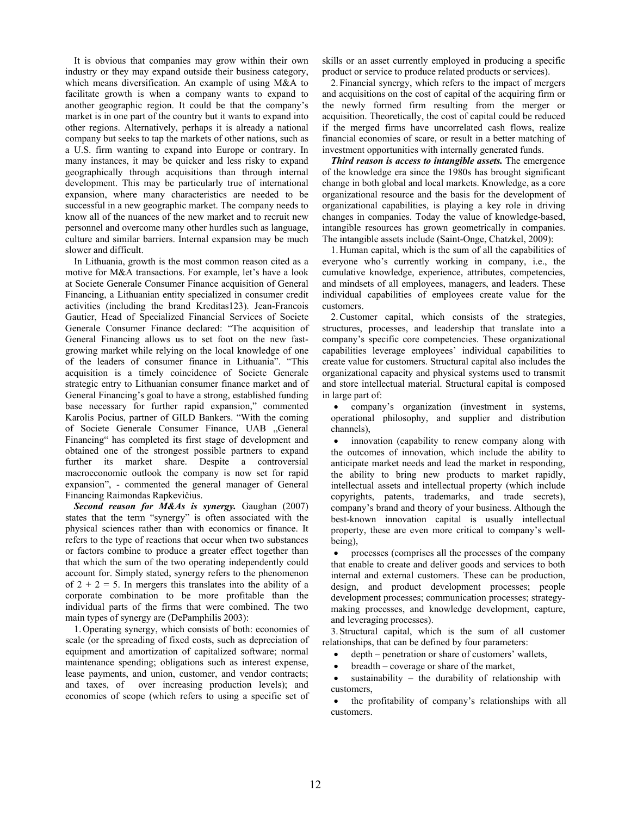It is obvious that companies may grow within their own industry or they may expand outside their business category, which means diversification. An example of using M&A to facilitate growth is when a company wants to expand to another geographic region. It could be that the company's market is in one part of the country but it wants to expand into other regions. Alternatively, perhaps it is already a national company but seeks to tap the markets of other nations, such as a U.S. firm wanting to expand into Europe or contrary. In many instances, it may be quicker and less risky to expand geographically through acquisitions than through internal development. This may be particularly true of international expansion, where many characteristics are needed to be successful in a new geographic market. The company needs to know all of the nuances of the new market and to recruit new personnel and overcome many other hurdles such as language, culture and similar barriers. Internal expansion may be much slower and difficult.

In Lithuania, growth is the most common reason cited as a motive for M&A transactions. For example, let's have a look at Societe Generale Consumer Finance acquisition of General Financing, a Lithuanian entity specialized in consumer credit activities (including the brand Kreditas123). Jean-Francois Gautier, Head of Specialized Financial Services of Societe Generale Consumer Finance declared: "The acquisition of General Financing allows us to set foot on the new fastgrowing market while relying on the local knowledge of one of the leaders of consumer finance in Lithuania". "This acquisition is a timely coincidence of Societe Generale strategic entry to Lithuanian consumer finance market and of General Financing's goal to have a strong, established funding base necessary for further rapid expansion," commented Karolis Pocius, partner of GILD Bankers. "With the coming of Societe Generale Consumer Finance, UAB "General Financing" has completed its first stage of development and obtained one of the strongest possible partners to expand further its market share. Despite a controversial macroeconomic outlook the company is now set for rapid expansion", - commented the general manager of General Financing Raimondas Rapkevičius.

*Second reason for M&As is synergy.* Gaughan (2007) states that the term "synergy" is often associated with the physical sciences rather than with economics or finance. It refers to the type of reactions that occur when two substances or factors combine to produce a greater effect together than that which the sum of the two operating independently could account for. Simply stated, synergy refers to the phenomenon of  $2 + 2 = 5$ . In mergers this translates into the ability of a corporate combination to be more profitable than the individual parts of the firms that were combined. The two main types of synergy are (DePamphilis 2003):

1.Operating synergy, which consists of both: economies of scale (or the spreading of fixed costs, such as depreciation of equipment and amortization of capitalized software; normal maintenance spending; obligations such as interest expense, lease payments, and union, customer, and vendor contracts; and taxes, of over increasing production levels); and economies of scope (which refers to using a specific set of

skills or an asset currently employed in producing a specific product or service to produce related products or services).

2.Financial synergy, which refers to the impact of mergers and acquisitions on the cost of capital of the acquiring firm or the newly formed firm resulting from the merger or acquisition. Theoretically, the cost of capital could be reduced if the merged firms have uncorrelated cash flows, realize financial economies of scare, or result in a better matching of investment opportunities with internally generated funds.

*Third reason is access to intangible assets.* The emergence of the knowledge era since the 1980s has brought significant change in both global and local markets. Knowledge, as a core organizational resource and the basis for the development of organizational capabilities, is playing a key role in driving changes in companies. Today the value of knowledge-based, intangible resources has grown geometrically in companies. The intangible assets include (Saint-Onge, Chatzkel, 2009):

1.Human capital, which is the sum of all the capabilities of everyone who's currently working in company, i.e., the cumulative knowledge, experience, attributes, competencies, and mindsets of all employees, managers, and leaders. These individual capabilities of employees create value for the customers.

2.Customer capital, which consists of the strategies, structures, processes, and leadership that translate into a company's specific core competencies. These organizational capabilities leverage employees' individual capabilities to create value for customers. Structural capital also includes the organizational capacity and physical systems used to transmit and store intellectual material. Structural capital is composed in large part of:

• company's organization (investment in systems, operational philosophy, and supplier and distribution channels),

• innovation (capability to renew company along with the outcomes of innovation, which include the ability to anticipate market needs and lead the market in responding, the ability to bring new products to market rapidly, intellectual assets and intellectual property (which include copyrights, patents, trademarks, and trade secrets), company's brand and theory of your business. Although the best-known innovation capital is usually intellectual property, these are even more critical to company's wellbeing),

• processes (comprises all the processes of the company that enable to create and deliver goods and services to both internal and external customers. These can be production, design, and product development processes; people development processes; communication processes; strategymaking processes, and knowledge development, capture, and leveraging processes).

3.Structural capital, which is the sum of all customer relationships, that can be defined by four parameters:

• depth – penetration or share of customers' wallets,

- breadth coverage or share of the market,
- sustainability the durability of relationship with customers,

• the profitability of company's relationships with all customers.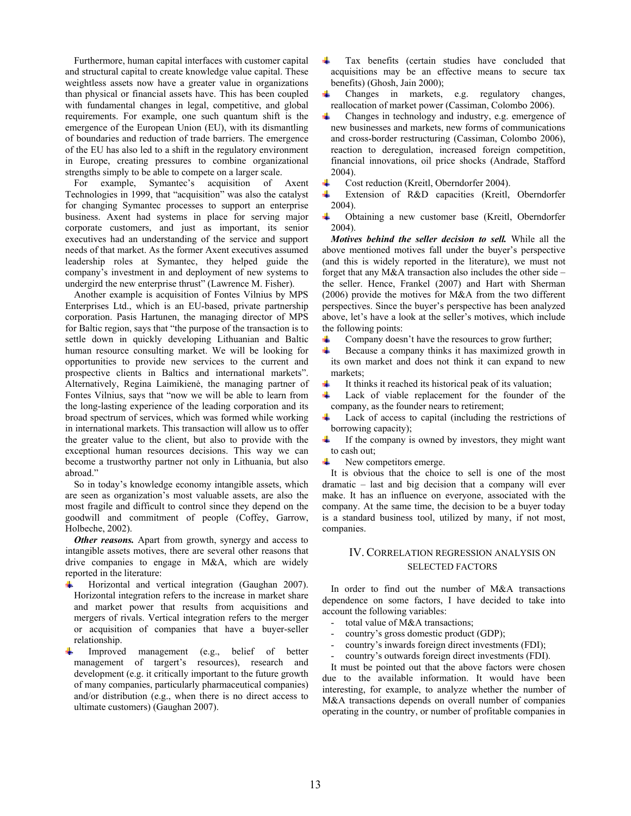Furthermore, human capital interfaces with customer capital and structural capital to create knowledge value capital. These weightless assets now have a greater value in organizations than physical or financial assets have. This has been coupled with fundamental changes in legal, competitive, and global requirements. For example, one such quantum shift is the emergence of the European Union (EU), with its dismantling of boundaries and reduction of trade barriers. The emergence of the EU has also led to a shift in the regulatory environment in Europe, creating pressures to combine organizational strengths simply to be able to compete on a larger scale.

For example, Symantec's acquisition of Axent Technologies in 1999, that "acquisition" was also the catalyst for changing Symantec processes to support an enterprise business. Axent had systems in place for serving major corporate customers, and just as important, its senior executives had an understanding of the service and support needs of that market. As the former Axent executives assumed leadership roles at Symantec, they helped guide the company's investment in and deployment of new systems to undergird the new enterprise thrust" (Lawrence M. Fisher).

Another example is acquisition of Fontes Vilnius by MPS Enterprises Ltd., which is an EU-based, private partnership corporation. Pasis Hartunen, the managing director of MPS for Baltic region, says that "the purpose of the transaction is to settle down in quickly developing Lithuanian and Baltic human resource consulting market. We will be looking for opportunities to provide new services to the current and prospective clients in Baltics and international markets". Alternatively, Regina Laimikienė, the managing partner of Fontes Vilnius, says that "now we will be able to learn from the long-lasting experience of the leading corporation and its broad spectrum of services, which was formed while working in international markets. This transaction will allow us to offer the greater value to the client, but also to provide with the exceptional human resources decisions. This way we can become a trustworthy partner not only in Lithuania, but also abroad."

So in today's knowledge economy intangible assets, which are seen as organization's most valuable assets, are also the most fragile and difficult to control since they depend on the goodwill and commitment of people (Coffey, Garrow, Holbeche, 2002).

*Other reasons.* Apart from growth, synergy and access to intangible assets motives, there are several other reasons that drive companies to engage in M&A, which are widely reported in the literature:

- ÷ Horizontal and vertical integration (Gaughan 2007). Horizontal integration refers to the increase in market share and market power that results from acquisitions and mergers of rivals. Vertical integration refers to the merger or acquisition of companies that have a buyer-seller relationship.
- Improved management (e.g., belief of better management of targert's resources), research and development (e.g. it critically important to the future growth of many companies, particularly pharmaceutical companies) and/or distribution (e.g., when there is no direct access to ultimate customers) (Gaughan 2007).
- 4 Tax benefits (certain studies have concluded that acquisitions may be an effective means to secure tax benefits) (Ghosh, Jain 2000);
- Changes in markets, e.g. regulatory changes, ٠ reallocation of market power (Cassiman, Colombo 2006).
- ÷ Changes in technology and industry, e.g. emergence of new businesses and markets, new forms of communications and cross-border restructuring (Cassiman, Colombo 2006), reaction to deregulation, increased foreign competition, financial innovations, oil price shocks (Andrade, Stafford 2004).
- Cost reduction (Kreitl, Oberndorfer 2004).
- Extension of R&D capacities (Kreitl, Oberndorfer ÷ 2004).
- ٠ Obtaining a new customer base (Kreitl, Oberndorfer 2004).

*Motives behind the seller decision to sell.* While all the above mentioned motives fall under the buyer's perspective (and this is widely reported in the literature), we must not forget that any M&A transaction also includes the other side – the seller. Hence, Frankel (2007) and Hart with Sherman (2006) provide the motives for M&A from the two different perspectives. Since the buyer's perspective has been analyzed above, let's have a look at the seller's motives, which include the following points:

- Company doesn't have the resources to grow further; ÷
- $\ddot{}$ Because a company thinks it has maximized growth in its own market and does not think it can expand to new markets;
- It thinks it reached its historical peak of its valuation;
- Lack of viable replacement for the founder of the ₩ company, as the founder nears to retirement;
- Lack of access to capital (including the restrictions of borrowing capacity);
- If the company is owned by investors, they might want ٠ to cash out;
- $\ddot{}$ New competitors emerge.

It is obvious that the choice to sell is one of the most dramatic – last and big decision that a company will ever make. It has an influence on everyone, associated with the company. At the same time, the decision to be a buyer today is a standard business tool, utilized by many, if not most, companies.

#### IV. CORRELATION REGRESSION ANALYSIS ON SELECTED FACTORS

In order to find out the number of M&A transactions dependence on some factors, I have decided to take into account the following variables:

- total value of M&A transactions;
- country's gross domestic product (GDP);
- country's inwards foreign direct investments (FDI);
- country's outwards foreign direct investments (FDI).

It must be pointed out that the above factors were chosen due to the available information. It would have been interesting, for example, to analyze whether the number of M&A transactions depends on overall number of companies operating in the country, or number of profitable companies in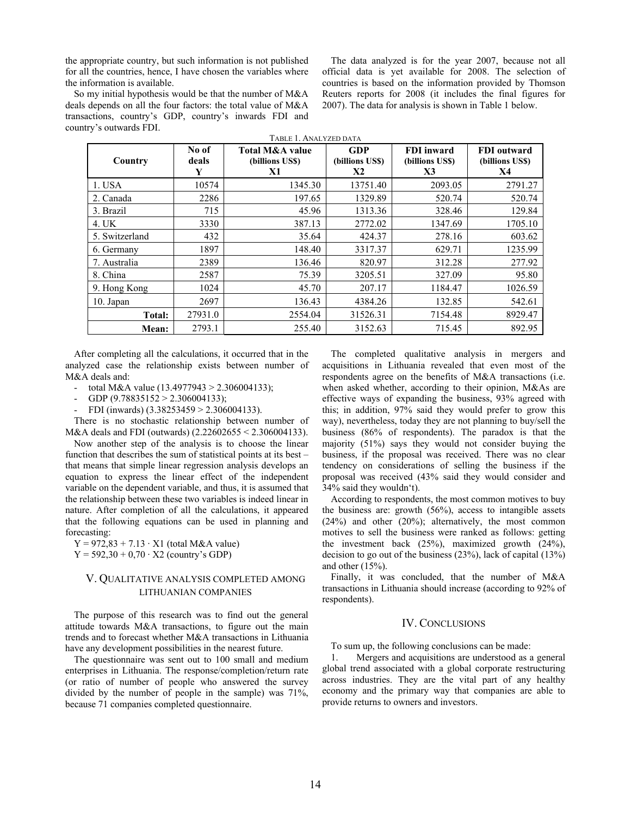the appropriate country, but such information is not published for all the countries, hence, I have chosen the variables where the information is available.

The data analyzed is for the year 2007, because not all official data is yet available for 2008. The selection of countries is based on the information provided by Thomson Reuters reports for 2008 (it includes the final figures for 2007). The data for analysis is shown in Table 1 below.

So my initial hypothesis would be that the number of M&A deals depends on all the four factors: the total value of M&A transactions, country's GDP, country's inwards FDI and country's outwards FDI. TABLE 1. ANALYZED DATA

| Country        | No of<br>deals<br>Y | <b>Total M&amp;A value</b><br>(billions US\$)<br>X1 | <b>GDP</b><br>(billions US\$)<br>X2 | <b>FDI</b> inward<br>(billions US\$)<br>X3 | <b>FDI</b> outward<br>(billions US\$)<br>X4 |
|----------------|---------------------|-----------------------------------------------------|-------------------------------------|--------------------------------------------|---------------------------------------------|
| 1. USA         | 10574               | 1345.30                                             | 13751.40                            | 2093.05                                    | 2791.27                                     |
| 2. Canada      | 2286                | 197.65                                              | 1329.89                             | 520.74                                     | 520.74                                      |
| 3. Brazil      | 715                 | 45.96                                               | 1313.36                             | 328.46                                     | 129.84                                      |
| 4. UK          | 3330                | 387.13                                              | 2772.02                             | 1347.69                                    | 1705.10                                     |
| 5. Switzerland | 432                 | 35.64                                               | 424.37                              | 278.16                                     | 603.62                                      |
| 6. Germany     | 1897                | 148.40                                              | 3317.37                             | 629.71                                     | 1235.99                                     |
| 7. Australia   | 2389                | 136.46                                              | 820.97                              | 312.28                                     | 277.92                                      |
| 8. China       | 2587                | 75.39                                               | 3205.51                             | 327.09                                     | 95.80                                       |
| 9. Hong Kong   | 1024                | 45.70                                               | 207.17                              | 1184.47                                    | 1026.59                                     |
| $10.$ Japan    | 2697                | 136.43                                              | 4384.26                             | 132.85                                     | 542.61                                      |
| Total:         | 27931.0             | 2554.04                                             | 31526.31                            | 7154.48                                    | 8929.47                                     |
| Mean:          | 2793.1              | 255.40                                              | 3152.63                             | 715.45                                     | 892.95                                      |

After completing all the calculations, it occurred that in the analyzed case the relationship exists between number of M&A deals and:

- total M&A value (13.4977943 > 2.306004133);
- GDP (9.78835152 > 2.306004133);

FDI (inwards)  $(3.38253459 > 2.306004133)$ .

There is no stochastic relationship between number of M&A deals and FDI (outwards) (2.22602655 < 2.306004133).

Now another step of the analysis is to choose the linear function that describes the sum of statistical points at its best – that means that simple linear regression analysis develops an equation to express the linear effect of the independent variable on the dependent variable, and thus, it is assumed that the relationship between these two variables is indeed linear in nature. After completion of all the calculations, it appeared that the following equations can be used in planning and forecasting:

 $Y = 972,83 + 7.13 \cdot X1$  (total M&A value)  $Y = 592,30 + 0,70 \cdot X2$  (country's GDP)

## V. QUALITATIVE ANALYSIS COMPLETED AMONG LITHUANIAN COMPANIES

The purpose of this research was to find out the general attitude towards M&A transactions, to figure out the main trends and to forecast whether M&A transactions in Lithuania have any development possibilities in the nearest future.

The questionnaire was sent out to 100 small and medium enterprises in Lithuania. The response/completion/return rate (or ratio of number of people who answered the survey divided by the number of people in the sample) was 71%, because 71 companies completed questionnaire.

The completed qualitative analysis in mergers and acquisitions in Lithuania revealed that even most of the respondents agree on the benefits of M&A transactions (i.e. when asked whether, according to their opinion, M&As are effective ways of expanding the business, 93% agreed with this; in addition, 97% said they would prefer to grow this way), nevertheless, today they are not planning to buy/sell the business (86% of respondents). The paradox is that the majority (51%) says they would not consider buying the business, if the proposal was received. There was no clear tendency on considerations of selling the business if the proposal was received (43% said they would consider and 34% said they wouldn't).

According to respondents, the most common motives to buy the business are: growth (56%), access to intangible assets (24%) and other (20%); alternatively, the most common motives to sell the business were ranked as follows: getting the investment back (25%), maximized growth (24%), decision to go out of the business (23%), lack of capital (13%) and other (15%).

Finally, it was concluded, that the number of M&A transactions in Lithuania should increase (according to 92% of respondents).

## IV. CONCLUSIONS

To sum up, the following conclusions can be made:

1. Mergers and acquisitions are understood as a general global trend associated with a global corporate restructuring across industries. They are the vital part of any healthy economy and the primary way that companies are able to provide returns to owners and investors.